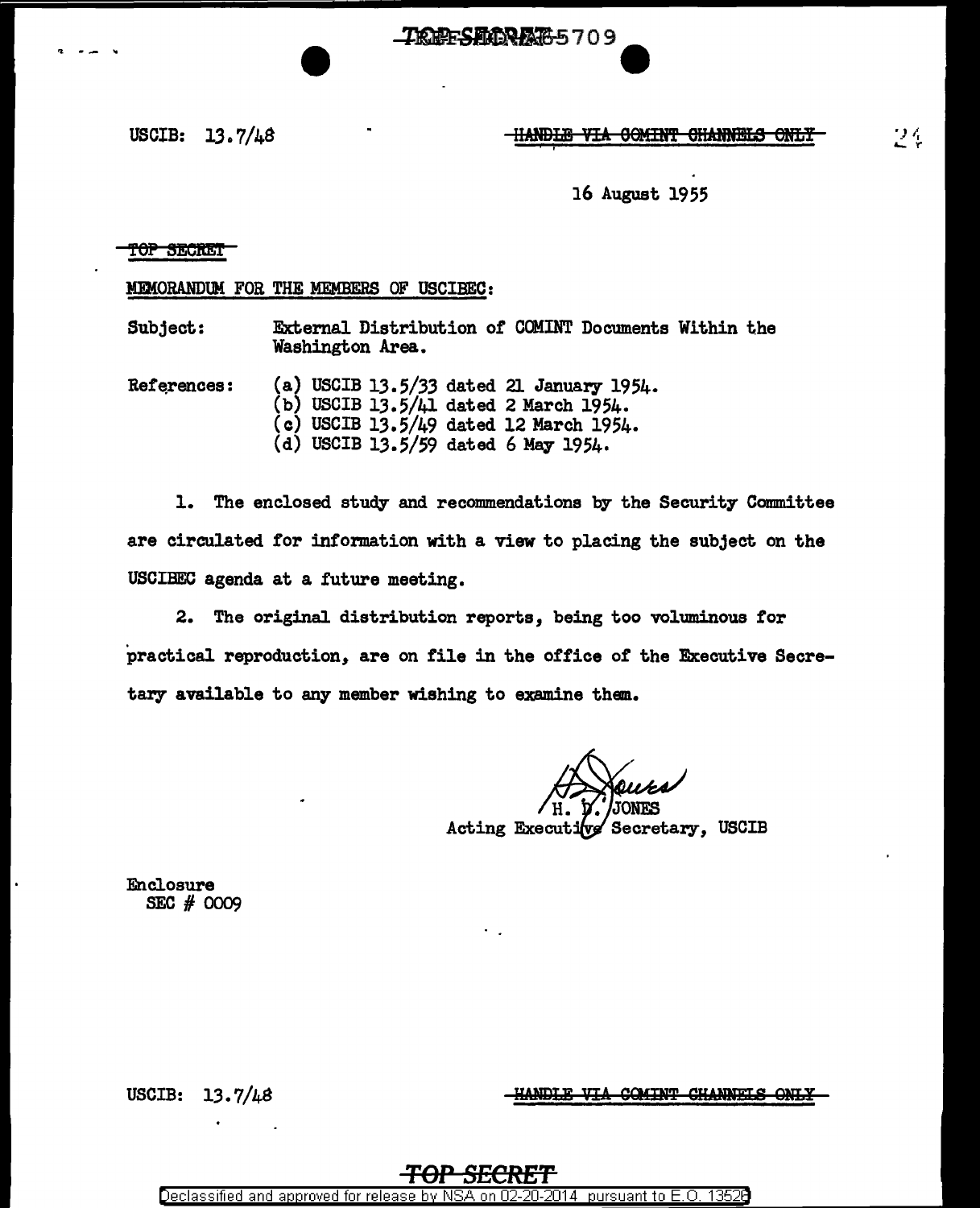TREES DORATO - 709

16 August 1955

## top Secret

MEMORANDUM FOR THE MEMBERS OF USCIBEC:

Subject: External Distribution of COMINT Documents Within the Washington Area.

References: (a) USCIB 13.5/33 dated 21 January 1954. (b) USCIB 13.5/41 dated 2 March 1954.  $(c)$  USCIB 13.5/49 dated 12 March 1954. (d) USCIB 13.5/59 dated 6 May 1954.

1. The enclosed study and recommendations by the Security Committee are circulated for information with a view to placing the subject on the USCIBEC agenda at a future meeting.

2. The original distribution reports, being too voluminous for practical reproduction, are on file in the office of the Executive Secretary available to any member wishing to examine them..

Acting Executive Secretary, USCIB

Enclosure SEC # 0009

USCIB:  $13.7/48$ 

HANDLE VIA COMINT CHANNELS ONLY

## **TOP S£CRET**

Declassified and approved for release by NSA on 02-20-2014 pursuant to E. 0. 1352B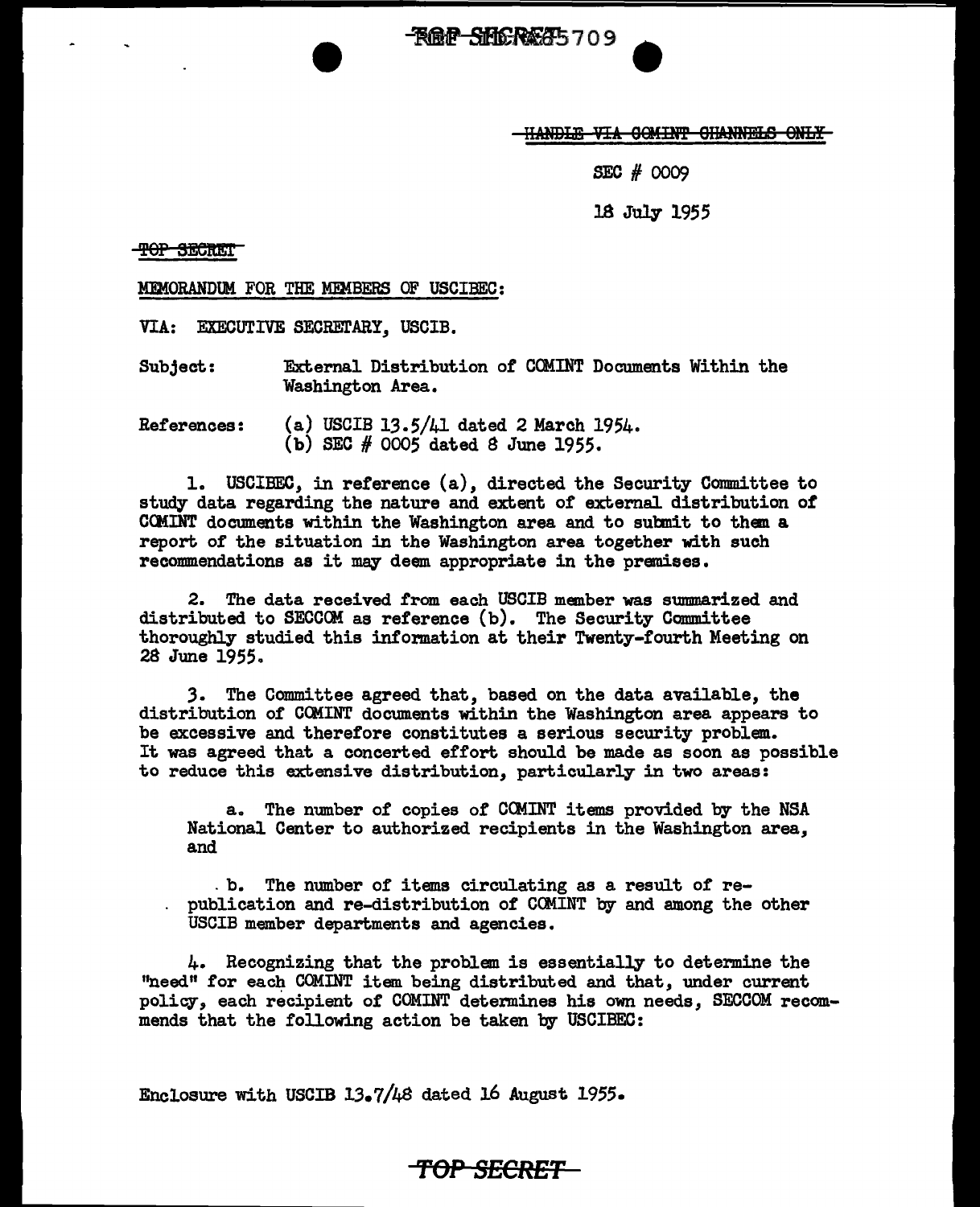~709.

HANDLE VIA GOMINT GHANNELS ONLY

SEC # 0009

18 July 1955

**TOP SECRET** 

MEMORANDUM FOR THE MEMBERS OF USCIBEC:

VIA: EXECUTIVE SECRETARY. USCIB.

Subject: External Distribution of COMINT Documents Within the Washington Area.

References: (a) USCIB 13.5/41 dated 2 March 1954. (b) SEC # 0005 dated S June 1955.

1. USCIBEC, in reference (a), directed the Security Committee to study data regarding the nature and extent of external distribution of CCMINT documents within the Washington area and to suhnit to than a report of the situation in the Washington area together with such recommendations as it may deem appropriate in the premises.

2. The data received f'rom each USCIB member was summarized and distributed to SECCOM as reference (b). The Security Committee thoroughly studied this intormation at their Twenty-fourth Meeting on 28 June 1955.

*3.* The Committee agreed that, based on the data available, the distribution of CCMINT documents within the Washington area appears to be excessive and therefore constitutes a serious security problem. It was agreed that a concerted effort should be made as soon as possible to reduce this extensive distribution, particularly in two areas:

a. The number of copies of COMINT items provided by the NSA National Center to authorized recipients in the Washington area, and

. b. The number of items circulating as a result of republication and re-distribution of' CCMINT by and among the other USCIB member departments and agencies.

4. Recognizing that the problem is essentially to determine the "need" for each COMINT item being distributed and that, under current policy, each recipient of COMINT determines his own needs, SECCOM recommends that the following action be taken by USCIBEC:

Enclosure with USCIB 13.7/48 dated 16 August 1955.

**'f"Ol' SECRET**